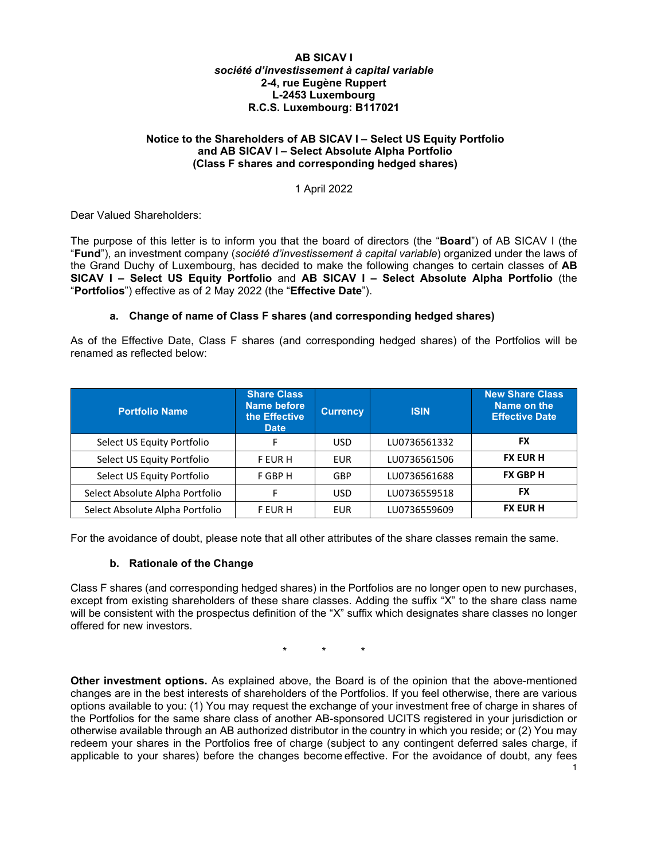#### **AB SICAV I** *société d'investissement à capital variable*  **2-4, rue Eugène Ruppert L-2453 Luxembourg R.C.S. Luxembourg: B117021**

#### **Notice to the Shareholders of AB SICAV I – Select US Equity Portfolio and AB SICAV I – Select Absolute Alpha Portfolio (Class F shares and corresponding hedged shares)**

### 1 April 2022

Dear Valued Shareholders:

The purpose of this letter is to inform you that the board of directors (the "**Board**") of AB SICAV I (the "**Fund**"), an investment company (*société d'investissement à capital variable*) organized under the laws of the Grand Duchy of Luxembourg, has decided to make the following changes to certain classes of **AB SICAV I – Select US Equity Portfolio** and **AB SICAV I – Select Absolute Alpha Portfolio** (the "**Portfolios**") effective as of 2 May 2022 (the "**Effective Date**").

## **a. Change of name of Class F shares (and corresponding hedged shares)**

As of the Effective Date, Class F shares (and corresponding hedged shares) of the Portfolios will be renamed as reflected below:

| <b>Portfolio Name</b>           | <b>Share Class</b><br>Name before<br>the Effective<br><b>Date</b> | <b>Currency</b> | <b>ISIN</b>  | <b>New Share Class</b><br>Name on the<br><b>Effective Date</b> |
|---------------------------------|-------------------------------------------------------------------|-----------------|--------------|----------------------------------------------------------------|
| Select US Equity Portfolio      | F                                                                 | <b>USD</b>      | LU0736561332 | <b>FX</b>                                                      |
| Select US Equity Portfolio      | <b>FEURH</b>                                                      | EUR             | LU0736561506 | <b>FX EUR H</b>                                                |
| Select US Equity Portfolio      | F GBP H                                                           | GBP             | LU0736561688 | <b>FX GBP H</b>                                                |
| Select Absolute Alpha Portfolio | F                                                                 | <b>USD</b>      | LU0736559518 | <b>FX</b>                                                      |
| Select Absolute Alpha Portfolio | F EUR H                                                           | EUR             | LU0736559609 | <b>FX EUR H</b>                                                |

For the avoidance of doubt, please note that all other attributes of the share classes remain the same.

# **b. Rationale of the Change**

Class F shares (and corresponding hedged shares) in the Portfolios are no longer open to new purchases, except from existing shareholders of these share classes. Adding the suffix "X" to the share class name will be consistent with the prospectus definition of the "X" suffix which designates share classes no longer offered for new investors.

\* \* \*

**Other investment options.** As explained above, the Board is of the opinion that the above-mentioned changes are in the best interests of shareholders of the Portfolios. If you feel otherwise, there are various options available to you: (1) You may request the exchange of your investment free of charge in shares of the Portfolios for the same share class of another AB-sponsored UCITS registered in your jurisdiction or otherwise available through an AB authorized distributor in the country in which you reside; or (2) You may redeem your shares in the Portfolios free of charge (subject to any contingent deferred sales charge, if applicable to your shares) before the changes become effective. For the avoidance of doubt, any fees